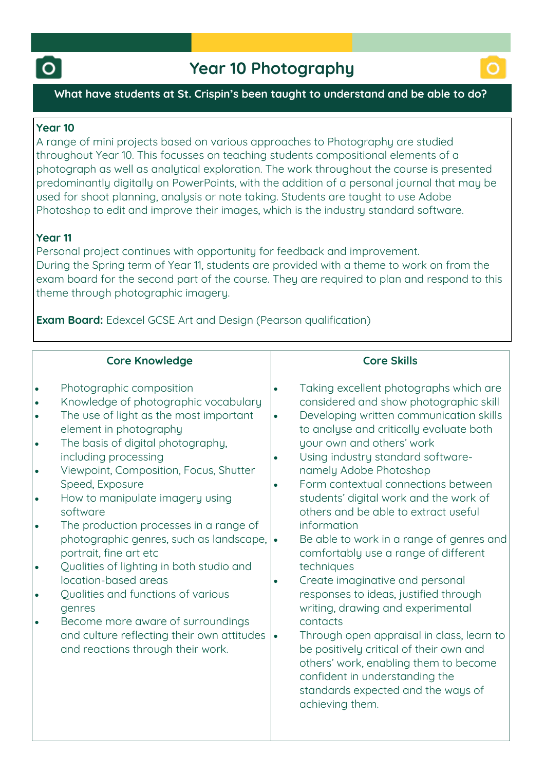



## **What have students at St. Crispin's been taught to understand and be able to do?**

## **Year 10**

**A range of mini projects based on various approaches to Photography are studied throughout Year 10. This focusses on teaching students compositional elements of a photograph as well as analytical exploration. The work throughout the course is presented predominantly digitally on PowerPoints, with the addition of a personal journal that may be used for shoot planning, analysis or note taking. Students are taught to use Adobe Photoshop to edit and improve their images, which is the industry standard software.**

# **Year 11**

**Personal project continues with opportunity for feedback and improvement. During the Spring term of Year 11, students are provided with a theme to work on from the exam board for the second part of the course. They are required to plan and respond to this theme through photographic imagery.**

**Exam Board: Edexcel GCSE Art and Design (Pearson qualification)**

# **Core Knowledge**

| I۰  | Photographic composition             |
|-----|--------------------------------------|
| l e | Knowledge of photographic vocabulary |

- **The use of light as the most important element in photography**
- **The basis of digital photography, including processing**
- **Viewpoint, Composition, Focus, Shutter Speed, Exposure**
- **How to manipulate imagery using software**
- **The production processes in a range of photographic genres, such as landscape, portrait, fine art etc**
- **Qualities of lighting in both studio and location-based areas**
- **Qualities and functions of various genres**
- **Become more aware of surroundings and culture reflecting their own attitudes and reactions through their work.**

# **Core Skills**

- **Taking excellent photographs which are considered and show photographic skill**
- **Developing written communication skills to analyse and critically evaluate both your own and others' work**
- **Using industry standard softwarenamely Adobe Photoshop**
- **Form contextual connections between students' digital work and the work of others and be able to extract useful information**
- **Be able to work in a range of genres and comfortably use a range of different techniques**
- **Create imaginative and personal responses to ideas, justified through writing, drawing and experimental contacts**
- **Through open appraisal in class, learn to be positively critical of their own and others' work, enabling them to become confident in understanding the standards expected and the ways of achieving them.**